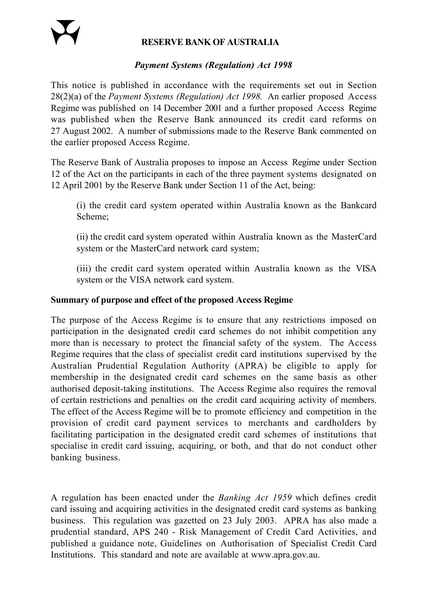### **RESERVE BANK OF AUSTRALIA**

### *Payment Systems (Regulation) Act 1998*

This notice is published in accordance with the requirements set out in Section 28(2)(a) of the *Payment Systems (Regulation) Act 1998.* An earlier proposed Access Regime was published on 14 December 2001 and a further proposed Access Regime was published when the Reserve Bank announced its credit card reforms on 27 August 2002. A number of submissions made to the Reserve Bank commented on the earlier proposed Access Regime.

The Reserve Bank of Australia proposes to impose an Access Regime under Section 12 of the Act on the participants in each of the three payment systems designated on 12 April 2001 by the Reserve Bank under Section 11 of the Act, being:

(i) the credit card system operated within Australia known as the Bankcard Scheme;

(ii) the credit card system operated within Australia known as the MasterCard system or the MasterCard network card system;

(iii) the credit card system operated within Australia known as the VISA system or the VISA network card system.

### **Summary of purpose and effect of the proposed Access Regime**

The purpose of the Access Regime is to ensure that any restrictions imposed on participation in the designated credit card schemes do not inhibit competition any more than is necessary to protect the financial safety of the system. The Access Regime requires that the class of specialist credit card institutions supervised by the Australian Prudential Regulation Authority (APRA) be eligible to apply for membership in the designated credit card schemes on the same basis as other authorised deposit-taking institutions. The Access Regime also requires the removal of certain restrictions and penalties on the credit card acquiring activity of members. The effect of the Access Regime will be to promote efficiency and competition in the provision of credit card payment services to merchants and cardholders by facilitating participation in the designated credit card schemes of institutions that specialise in credit card issuing, acquiring, or both, and that do not conduct other banking business.

A regulation has been enacted under the *Banking Act 1959* which defines credit card issuing and acquiring activities in the designated credit card systems as banking business. This regulation was gazetted on 23 July 2003. APRA has also made a prudential standard, APS 240 - Risk Management of Credit Card Activities, and published a guidance note, Guidelines on Authorisation of Specialist Credit Card Institutions. This standard and note are available at www.apra.gov.au.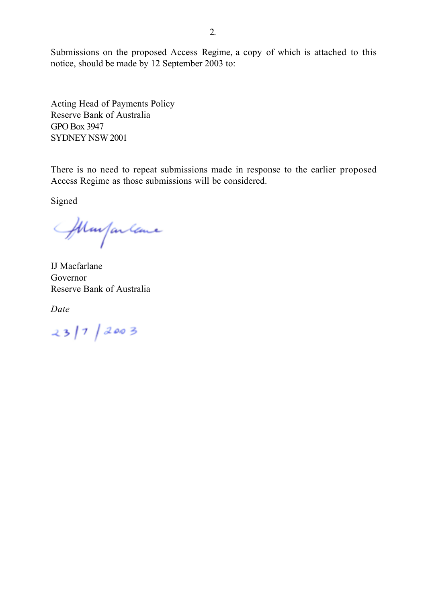Submissions on the proposed Access Regime, a copy of which is attached to this notice, should be made by 12 September 2003 to:

Acting Head of Payments Policy Reserve Bank of Australia GPO Box 3947 SYDNEY NSW 2001

There is no need to repeat submissions made in response to the earlier proposed Access Regime as those submissions will be considered.

Signed

Margarlane

IJ Macfarlane Governor Reserve Bank of Australia

*Date*

 $23/7/2003$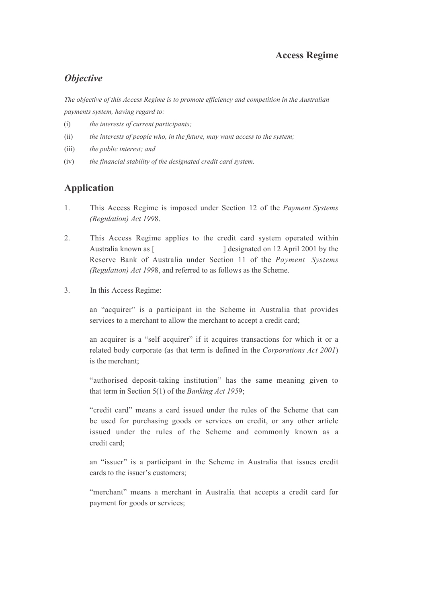#### **Access Regime**

## *Objective*

*The objective of this Access Regime is to promote efficiency and competition in the Australian payments system, having regard to:*

- (i) *the interests of current participants;*
- (ii) *the interests of people who, in the future, may want access to the system;*
- (iii) *the public interest; and*
- (iv) *the financial stability of the designated credit card system.*

# **Application**

- 1. This Access Regime is imposed under Section 12 of the *Payment Systems (Regulation) Act 199*8.
- 2. This Access Regime applies to the credit card system operated within Australia known as [  $\qquad$  ] designated on 12 April 2001 by the Reserve Bank of Australia under Section 11 of the *Payment Systems (Regulation) Act 199*8, and referred to as follows as the Scheme.
- 3. In this Access Regime:

an "acquirer" is a participant in the Scheme in Australia that provides services to a merchant to allow the merchant to accept a credit card;

an acquirer is a "self acquirer" if it acquires transactions for which it or a related body corporate (as that term is defined in the *Corporations Act 2001*) is the merchant;

"authorised deposit-taking institution" has the same meaning given to that term in Section 5(1) of the *Banking Act 195*9;

"credit card" means a card issued under the rules of the Scheme that can be used for purchasing goods or services on credit, or any other article issued under the rules of the Scheme and commonly known as a credit card;

an "issuer" is a participant in the Scheme in Australia that issues credit cards to the issuer's customers;

"merchant" means a merchant in Australia that accepts a credit card for payment for goods or services;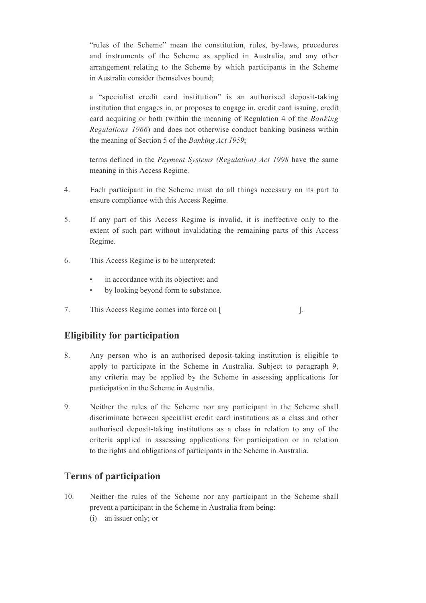"rules of the Scheme" mean the constitution, rules, by-laws, procedures and instruments of the Scheme as applied in Australia, and any other arrangement relating to the Scheme by which participants in the Scheme in Australia consider themselves bound;

a "specialist credit card institution" is an authorised deposit-taking institution that engages in, or proposes to engage in, credit card issuing, credit card acquiring or both (within the meaning of Regulation 4 of the *Banking Regulations 1966*) and does not otherwise conduct banking business within the meaning of Section 5 of the *Banking Act 1959*;

terms defined in the *Payment Systems (Regulation) Act 1998* have the same meaning in this Access Regime.

- 4. Each participant in the Scheme must do all things necessary on its part to ensure compliance with this Access Regime.
- 5. If any part of this Access Regime is invalid, it is ineffective only to the extent of such part without invalidating the remaining parts of this Access Regime.
- 6. This Access Regime is to be interpreted:
	- in accordance with its objective; and
	- by looking beyond form to substance.
- 7. This Access Regime comes into force on [

## **Eligibility for participation**

- 8. Any person who is an authorised deposit-taking institution is eligible to apply to participate in the Scheme in Australia. Subject to paragraph 9, any criteria may be applied by the Scheme in assessing applications for participation in the Scheme in Australia.
- 9. Neither the rules of the Scheme nor any participant in the Scheme shall discriminate between specialist credit card institutions as a class and other authorised deposit-taking institutions as a class in relation to any of the criteria applied in assessing applications for participation or in relation to the rights and obligations of participants in the Scheme in Australia.

## **Terms of participation**

- 10. Neither the rules of the Scheme nor any participant in the Scheme shall prevent a participant in the Scheme in Australia from being:
	- (i) an issuer only; or